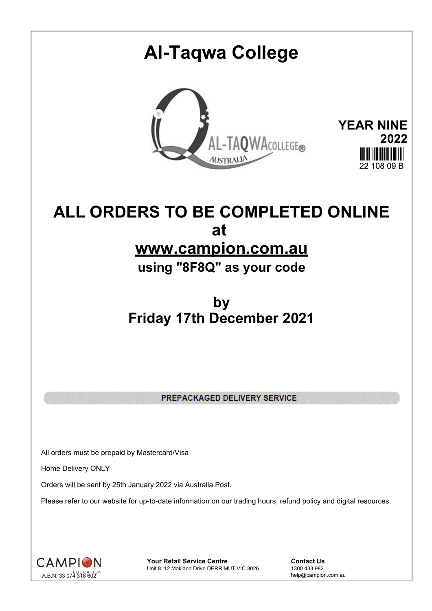# **Al-Taqwa College YEAR NINE** AL-TAQWACOLLEGE® **2022 AUSTRALIA** 22 108 09 B

## **ALL ORDERS TO BE COMPLETED ONLINE at www.campion.com.au**

**using "8F8Q" as your code**

### **by Friday 17th December 2021**

PREPACKAGED DELIVERY SERVICE

All orders must be prepaid by Mastercard/Visa

Home Delivery ONLY

Orders will be sent by 25th January 2022 via Australia Post.

Please refer to our website for up-to-date information on our trading hours, refund policy and digital resources.



**Your Retail Service Centre Contact Us**<br>
Unit 8, 12 Makland Drive DERRIMUT VIC 3026
1300 433 982 Unit 8, 12 Makland Drive DERRIMUT VIC 3026

help@campion.com.au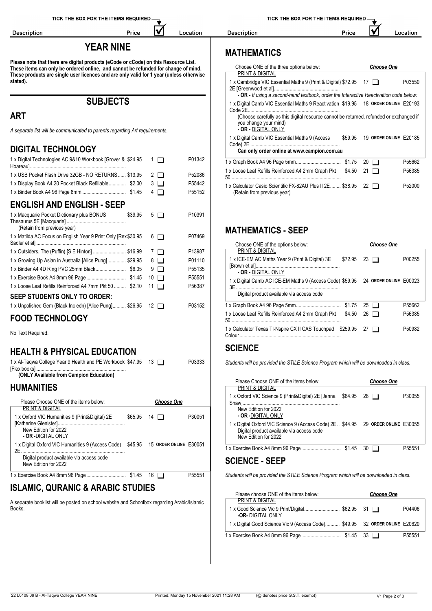Description

#### **YEAR NINE**

IV

Location

Price

**Please note that there are digital products (eCode or cCode) on this Resource List. These items can only be ordered online, and cannot be refunded for change of mind. These products are single user licences and are only valid for 1 year (unless otherwise stated).**

**SUBJECTS**

#### **ART**

*A separate list will be communicated to parents regarding Art requirements.*

#### **DIGITAL TECHNOLOGY**

| 1 x Digital Technologies AC 9&10 Workbook [Grover & \$24.95                          |    | $\Box$    | P01342 |                                                    |
|--------------------------------------------------------------------------------------|----|-----------|--------|----------------------------------------------------|
| 1 x USB Pocket Flash Drive 32GB - NO RETURNS  \$13.95                                |    | $2 \Box$  | P52086 | 1 x Loose Leaf Refills Reinforced A4 2mm Graph Pkt |
| 1 x Display Book A4 20 Pocket Black Refillable \$2.00                                |    | $3 \Box$  | P55442 | 1 x Calculator Casio Scientific FX-82AU Plus II 2E |
|                                                                                      |    | $4\Box$   | P55152 | (Retain from previous year)                        |
| <b>ENGLISH AND ENGLISH - SEEP</b>                                                    |    |           |        |                                                    |
| 1 x Macquarie Pocket Dictionary plus BONUS<br>\$39.95<br>(Retain from previous year) |    | 5 I I     | P10391 | <b>MATHEMATICS - SEEP</b>                          |
| 1 x Matilda AC Focus on English Year 9 Print Only [Rex \$30.95]                      |    | 6 T       | P07469 | Choose ONE of the options below:                   |
| 1 x Outsiders, The (Puffin) [S E Hinton]  \$16.99                                    |    | $\Box$    | P13987 | PRINT & DIGITAL                                    |
| 1 x Growing Up Asian in Australia [Alice Pung] \$29.95                               |    | $8\Box$   | P01110 | 1 x ICE-EM AC Maths Year 9 (Print & Digital) 3E    |
|                                                                                      |    | $9\Box$   | P55135 | - OR - DIGITAL ONLY                                |
|                                                                                      | 10 | $\Box$    | P55551 | 1 x Digital Camb AC ICE-EM Maths 9 (Access Code)   |
| 1 x Loose Leaf Refills Reinforced A4 7mm Pkt 50  \$2.10                              |    | $\Box$    | P56387 |                                                    |
| SEEP STUDENTS ONLY TO ORDER:                                                         |    |           |        | Digital product available via access code          |
| 1 x Unpolished Gem (Black Inc edn) [Alice Pung] \$26.95                              |    | 12 $\Box$ | P03152 |                                                    |
| FAAR TEALINAL AAV                                                                    |    |           |        | 1 x Loose Leaf Refills Reinforced A4 2mm Graph Pkt |

#### **FOOD TECHNOLOGY**

No Text Required.

#### **HEALTH & PHYSICAL EDUCATION**

1 x Al-Taqwa College Year 9 Health and PE Workbook [Flexibooks] .................................................................... \$47.95 <sup>13</sup> P03333

**(ONLY Available from Campion Education)**

#### **HUMANITIES**

| Please Choose ONE of the items below:                                            | <b>Choose One</b>  |        | P30055                                                                                                                                                 |
|----------------------------------------------------------------------------------|--------------------|--------|--------------------------------------------------------------------------------------------------------------------------------------------------------|
| <b>PRINT &amp; DIGITAL</b><br>1 x Oxford VIC Humanities 9 (Print&Digital) 2E     | $$65.95$ 14 $\Box$ | P30051 | New Edition for 2022<br>- OR -DIGITAL ONLY                                                                                                             |
| New Edition for 2022<br><b>- OR -</b> DIGITAL ONLY                               |                    |        | 1 x Digital Oxford VIC Science 9 (Access Code) 2E  \$44.95 29 ORDER ONLINE E30055<br>Digital product available via access code<br>New Edition for 2022 |
| 1 x Digital Oxford VIC Humanities 9 (Access Code) \$45.95 15 ORDER ONLINE E30051 |                    |        | P55551                                                                                                                                                 |
| Digital product available via access code<br>New Edition for 2022                |                    |        | <b>SCIENCE - SEEP</b>                                                                                                                                  |
|                                                                                  |                    | P55551 | Students will be provided the STILE Science Program which will be downloaded in class.                                                                 |

### **ISLAMIC, QURANIC & ARABIC STUDIES**

A separate booklist will be posted on school website and Schoolbox regarding Arabic/Islamic Books.

TICK THE BOX FOR THE ITEMS REQUIRED

Price

IV Location

#### **MATHEMATICS**

Description

| Choose ONE of the three options below:                                                                                                                                                                                        |         |    | <b>Choose One</b>      |        |
|-------------------------------------------------------------------------------------------------------------------------------------------------------------------------------------------------------------------------------|---------|----|------------------------|--------|
| PRINT & DIGITAL<br>1 x Cambridge VIC Essential Maths 9 (Print & Digital) \$72.95<br>- OR - If using a second-hand textbook, order the Interactive Reactivation code below:                                                    |         |    |                        | P03550 |
| 1 x Digital Camb VIC Essential Maths 9 Reactivation \$19.95 18 ORDER ONLINE E20193<br>(Choose carefully as this digital resource cannot be returned, refunded or exchanged if<br>you change your mind)<br>- OR - DIGITAL ONLY |         |    |                        |        |
| 1 x Digital Camb VIC Essential Maths 9 (Access<br>Can only order online at www.campion.com.au                                                                                                                                 | \$59.95 |    | 19 ORDER ONLINE E20185 |        |
|                                                                                                                                                                                                                               |         |    | 20 I I                 | P55662 |
| 1 x Loose Leaf Refills Reinforced A4 2mm Graph Pkt                                                                                                                                                                            | \$4.50  | 21 |                        | P56385 |
| 1 x Calculator Casio Scientific FX-82AU Plus II 2E \$38.95                                                                                                                                                                    |         |    | $22 \mid$              | P52000 |

#### **MATHEMATICS - SEEP**

| Choose ONE of the options below:<br>PRINT & DIGITAL                                                                                | <b>Choose One</b>   |
|------------------------------------------------------------------------------------------------------------------------------------|---------------------|
| 1 x ICE-EM AC Maths Year 9 (Print & Digital) 3E<br>\$72.95<br>- OR - DIGITAL ONLY                                                  | 23<br>P00255        |
| 1 x Digital Camb AC ICE-EM Maths 9 (Access Code) \$59.95 24 ORDER ONLINE E00023<br>3F<br>Digital product available via access code |                     |
|                                                                                                                                    | P55662<br>$25 \Box$ |
| 1 x Loose Leaf Refills Reinforced A4 2mm Graph Pkt<br>\$4.50                                                                       | P56385<br>26<br>. . |
| 1 x Calculator Texas TI-Nspire CX II CAS Touchpad \$259.95                                                                         | P50982<br>27        |

#### **SCIENCE**

*Students will be provided the STILE Science Program which will be downloaded in class.*

| Please Choose ONE of the items below:                                                                                                                  |         | <b>Choose One</b> |                    |
|--------------------------------------------------------------------------------------------------------------------------------------------------------|---------|-------------------|--------------------|
| <b>PRINT &amp; DIGITAL</b><br>1 x Oxford VIC Science 9 (Print&Digital) 2E [Jenna                                                                       | \$64.95 | $28$ $\Box$       | P30055             |
| New Edition for 2022<br>- OR -DIGITAL ONLY                                                                                                             |         |                   |                    |
| 1 x Digital Oxford VIC Science 9 (Access Code) 2E  \$44.95 29 ORDER ONLINE E30055<br>Digital product available via access code<br>New Edition for 2022 |         |                   |                    |
|                                                                                                                                                        |         | 30 L L            | P <sub>55551</sub> |

#### **SCIENCE - SEEP**

| Please choose ONE of the items below:                                       | <b>Choose One</b> |                    |
|-----------------------------------------------------------------------------|-------------------|--------------------|
| <b>PRINT &amp; DIGITAL</b>                                                  |                   |                    |
| <b>-OR-DIGITAL ONLY</b>                                                     |                   | P04406             |
| 1 x Digital Good Science Vic 9 (Access Code) \$49.95 32 ORDER ONLINE E20620 |                   |                    |
|                                                                             |                   | P <sub>55551</sub> |